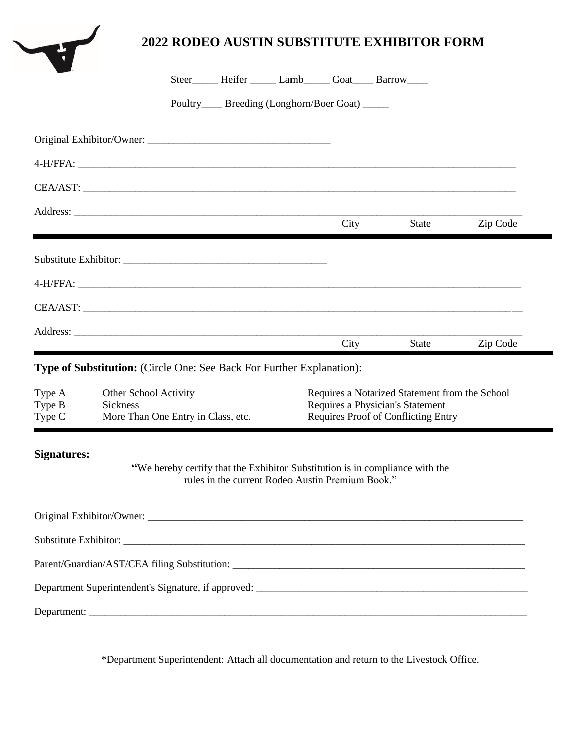|                            |                                                                                |                                                 |  |                                                  |                                                                                                                           | <b>2022 RODEO AUSTIN SUBSTITUTE EXHIBITOR FORM</b>                           |          |  |
|----------------------------|--------------------------------------------------------------------------------|-------------------------------------------------|--|--------------------------------------------------|---------------------------------------------------------------------------------------------------------------------------|------------------------------------------------------------------------------|----------|--|
|                            |                                                                                |                                                 |  |                                                  |                                                                                                                           | Steer_______ Heifer _______ Lamb_______ Goat_____ Barrow_____                |          |  |
|                            |                                                                                | Poultry____ Breeding (Longhorn/Boer Goat) _____ |  |                                                  |                                                                                                                           |                                                                              |          |  |
|                            |                                                                                |                                                 |  |                                                  |                                                                                                                           |                                                                              |          |  |
|                            |                                                                                |                                                 |  |                                                  |                                                                                                                           |                                                                              |          |  |
|                            | CEA/AST:                                                                       |                                                 |  |                                                  |                                                                                                                           |                                                                              |          |  |
|                            |                                                                                |                                                 |  |                                                  | City                                                                                                                      | <b>State</b>                                                                 | Zip Code |  |
|                            |                                                                                |                                                 |  |                                                  |                                                                                                                           |                                                                              |          |  |
|                            |                                                                                |                                                 |  |                                                  |                                                                                                                           |                                                                              |          |  |
|                            |                                                                                |                                                 |  |                                                  |                                                                                                                           |                                                                              |          |  |
|                            |                                                                                |                                                 |  |                                                  | City                                                                                                                      | <b>State</b>                                                                 | Zip Code |  |
|                            | <b>Type of Substitution:</b> (Circle One: See Back For Further Explanation):   |                                                 |  |                                                  |                                                                                                                           |                                                                              |          |  |
| Type A<br>Type B<br>Type C | Other School Activity<br><b>Sickness</b><br>More Than One Entry in Class, etc. |                                                 |  |                                                  | Requires a Notarized Statement from the School<br>Requires a Physician's Statement<br>Requires Proof of Conflicting Entry |                                                                              |          |  |
| <b>Signatures:</b>         |                                                                                |                                                 |  | rules in the current Rodeo Austin Premium Book." |                                                                                                                           | "We hereby certify that the Exhibitor Substitution is in compliance with the |          |  |
|                            |                                                                                |                                                 |  |                                                  |                                                                                                                           |                                                                              |          |  |
|                            |                                                                                |                                                 |  |                                                  |                                                                                                                           |                                                                              |          |  |
|                            |                                                                                |                                                 |  |                                                  |                                                                                                                           |                                                                              |          |  |
|                            |                                                                                |                                                 |  |                                                  |                                                                                                                           |                                                                              |          |  |
|                            |                                                                                |                                                 |  |                                                  |                                                                                                                           |                                                                              |          |  |

\*Department Superintendent: Attach all documentation and return to the Livestock Office.